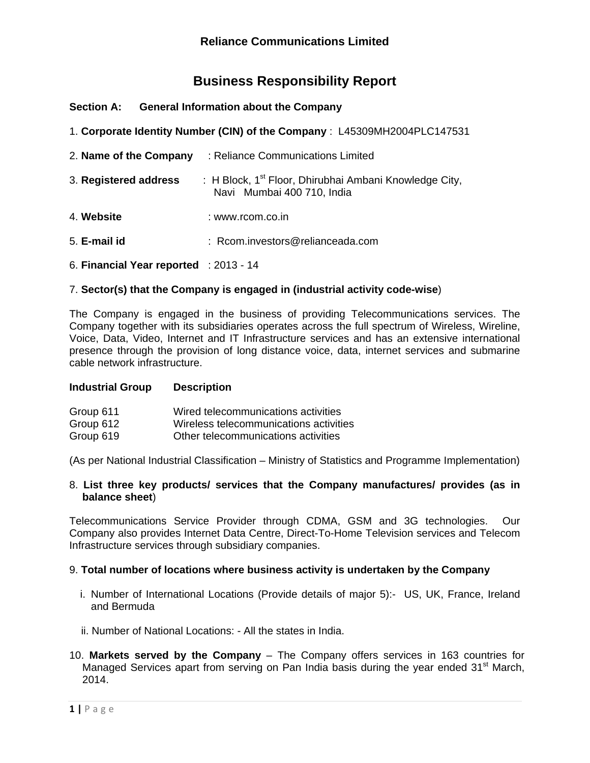# **Business Responsibility Report**

| <b>Section A:</b> | <b>General Information about the Company</b> |  |  |
|-------------------|----------------------------------------------|--|--|
|                   |                                              |  |  |

|  |  |  | 1. Corporate Identity Number (CIN) of the Company: L45309MH2004PLC147531 |
|--|--|--|--------------------------------------------------------------------------|
|--|--|--|--------------------------------------------------------------------------|

- 2. **Name of the Company** : Reliance Communications Limited
- 3. **Registered address** : H Block, 1st Floor, Dhirubhai Ambani Knowledge City, Navi Mumbai 400 710, India
- 4. **Website** : www.rcom.co.in
- 5. **E-mail id** : Rcom.investors@relianceada.com
- 6. **Financial Year reported** : 2013 14

## 7. **Sector(s) that the Company is engaged in (industrial activity code-wise**)

The Company is engaged in the business of providing Telecommunications services. The Company together with its subsidiaries operates across the full spectrum of Wireless, Wireline, Voice, Data, Video, Internet and IT Infrastructure services and has an extensive international presence through the provision of long distance voice, data, internet services and submarine cable network infrastructure.

#### **Industrial Group Description**

| Group 611 | Wired telecommunications activities    |
|-----------|----------------------------------------|
| Group 612 | Wireless telecommunications activities |
| Group 619 | Other telecommunications activities    |

(As per National Industrial Classification – Ministry of Statistics and Programme Implementation)

## 8. **List three key products/ services that the Company manufactures/ provides (as in balance sheet**)

Telecommunications Service Provider through CDMA, GSM and 3G technologies. Our Company also provides Internet Data Centre, Direct-To-Home Television services and Telecom Infrastructure services through subsidiary companies.

#### 9. **Total number of locations where business activity is undertaken by the Company**

- i. Number of International Locations (Provide details of major 5):- US, UK, France, Ireland and Bermuda
- ii. Number of National Locations: All the states in India.
- 10. **Markets served by the Company** The Company offers services in 163 countries for Managed Services apart from serving on Pan India basis during the year ended 31<sup>st</sup> March, 2014.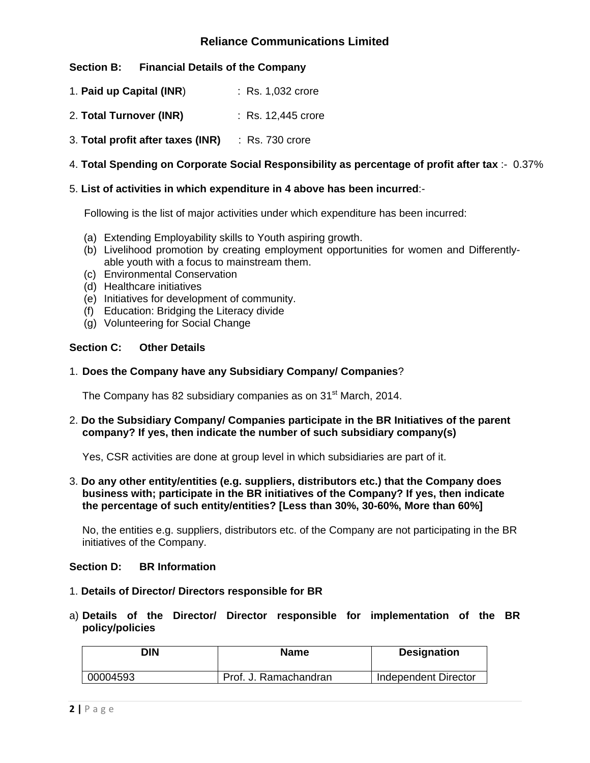# **Section B: Financial Details of the Company**

- 1. **Paid up Capital (INR**) : Rs. 1,032 crore
- 2. **Total Turnover (INR)** : Rs. 12,445 crore
- 3. **Total profit after taxes (INR)** : Rs. 730 crore

# 4. **Total Spending on Corporate Social Responsibility as percentage of profit after tax** :- 0.37%

## 5. **List of activities in which expenditure in 4 above has been incurred**:-

Following is the list of major activities under which expenditure has been incurred:

- (a) Extending Employability skills to Youth aspiring growth.
- (b) Livelihood promotion by creating employment opportunities for women and Differentlyable youth with a focus to mainstream them.
- (c) Environmental Conservation
- (d) Healthcare initiatives
- (e) Initiatives for development of community.
- (f) Education: Bridging the Literacy divide
- (g) Volunteering for Social Change

## **Section C: Other Details**

1. **Does the Company have any Subsidiary Company/ Companies**?

The Company has 82 subsidiary companies as on 31<sup>st</sup> March, 2014.

## 2. **Do the Subsidiary Company/ Companies participate in the BR Initiatives of the parent company? If yes, then indicate the number of such subsidiary company(s)**

Yes, CSR activities are done at group level in which subsidiaries are part of it.

3. **Do any other entity/entities (e.g. suppliers, distributors etc.) that the Company does business with; participate in the BR initiatives of the Company? If yes, then indicate the percentage of such entity/entities? [Less than 30%, 30-60%, More than 60%]** 

No, the entities e.g. suppliers, distributors etc. of the Company are not participating in the BR initiatives of the Company.

#### **Section D: BR Information**

- 1. **Details of Director/ Directors responsible for BR**
- a) **Details of the Director/ Director responsible for implementation of the BR policy/policies**

| אוכ      | <b>Name</b>           | <b>Designation</b>   |
|----------|-----------------------|----------------------|
| 00004593 | Prof. J. Ramachandran | Independent Director |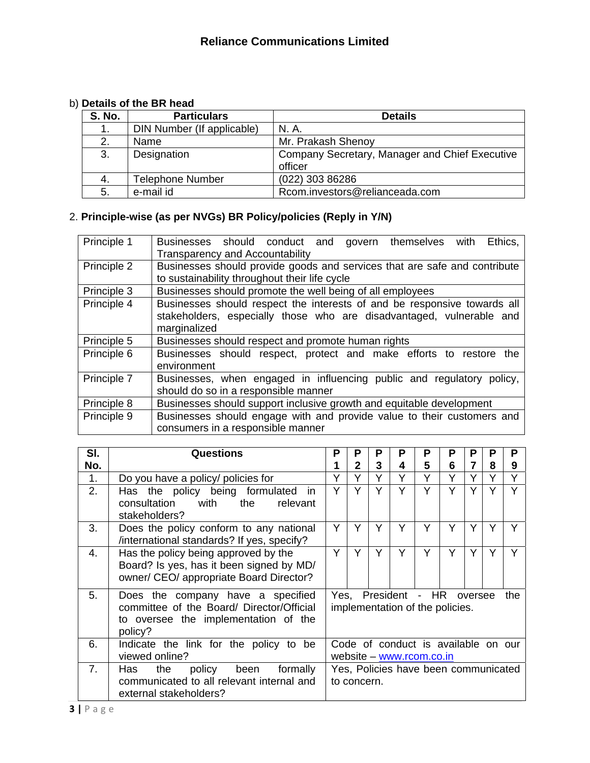# b) **Details of the BR head**

| <b>S. No.</b> | <b>Particulars</b>         | <b>Details</b>                                            |
|---------------|----------------------------|-----------------------------------------------------------|
| 1.            | DIN Number (If applicable) | N. A.                                                     |
| 2.            | Name                       | Mr. Prakash Shenoy                                        |
| 3.            | Designation                | Company Secretary, Manager and Chief Executive<br>officer |
| 4.            | <b>Telephone Number</b>    | (022) 303 86286                                           |
| 5.            | e-mail id                  | Rcom.investors@relianceada.com                            |

# 2. **Principle-wise (as per NVGs) BR Policy/policies (Reply in Y/N)**

| Principle 1 | Ethics,<br>Businesses should conduct and govern themselves with<br><b>Transparency and Accountability</b>                                                        |
|-------------|------------------------------------------------------------------------------------------------------------------------------------------------------------------|
| Principle 2 | Businesses should provide goods and services that are safe and contribute<br>to sustainability throughout their life cycle                                       |
| Principle 3 | Businesses should promote the well being of all employees                                                                                                        |
| Principle 4 | Businesses should respect the interests of and be responsive towards all<br>stakeholders, especially those who are disadvantaged, vulnerable and<br>marginalized |
| Principle 5 | Businesses should respect and promote human rights                                                                                                               |
| Principle 6 | Businesses should respect, protect and make efforts to restore<br>the<br>environment                                                                             |
| Principle 7 | Businesses, when engaged in influencing public and regulatory policy,<br>should do so in a responsible manner                                                    |
| Principle 8 | Businesses should support inclusive growth and equitable development                                                                                             |
| Principle 9 | Businesses should engage with and provide value to their customers and<br>consumers in a responsible manner                                                      |

| SI. | Questions                                                                                                                         | Ρ                                                               | P            | P | Р                   | Ρ | P                               | Р              | Ρ | Р            |
|-----|-----------------------------------------------------------------------------------------------------------------------------------|-----------------------------------------------------------------|--------------|---|---------------------|---|---------------------------------|----------------|---|--------------|
| No. |                                                                                                                                   |                                                                 | $\mathbf{2}$ | 3 | 4                   | 5 | 6                               | $\overline{7}$ | 8 | 9            |
| 1.  | Do you have a policy/ policies for                                                                                                | Y                                                               | Υ            | Υ | Υ                   | Υ | Υ                               | Υ              |   | $\checkmark$ |
| 2.  | Has the policy being formulated<br>- in<br>with<br>consultation<br>the<br>relevant<br>stakeholders?                               |                                                                 | Υ            | Υ | Υ                   | Y | Υ                               | Υ              |   |              |
| 3.  | Does the policy conform to any national<br>/international standards? If yes, specify?                                             | Y                                                               | Y            | Y | Y                   | Y | Y                               | Y              | Y |              |
| 4.  | Has the policy being approved by the<br>Board? Is yes, has it been signed by MD/<br>owner/ CEO/ appropriate Board Director?       | Y                                                               | Y            | Y | Υ                   | Υ | Y                               | Y              | Υ |              |
| 5.  | Does the company have a specified<br>committee of the Board/ Director/Official<br>to oversee the implementation of the<br>policy? |                                                                 |              |   | Yes, President - HR |   | implementation of the policies. | oversee        |   | the          |
| 6.  | Indicate the link for the policy to be<br>viewed online?                                                                          | Code of conduct is available on our<br>website - www.rcom.co.in |              |   |                     |   |                                 |                |   |              |
| 7.  | formally<br>Has<br>the<br>policy<br>been<br>communicated to all relevant internal and<br>external stakeholders?                   | Yes, Policies have been communicated<br>to concern.             |              |   |                     |   |                                 |                |   |              |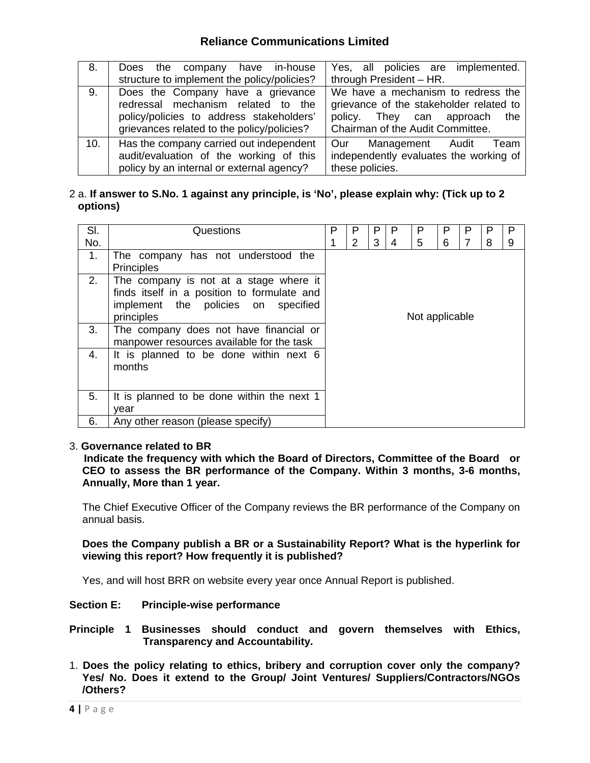| 8.  | Does the company have in-house                                                                                                  | Yes, all policies are implemented.                                                                           |
|-----|---------------------------------------------------------------------------------------------------------------------------------|--------------------------------------------------------------------------------------------------------------|
|     | structure to implement the policy/policies?                                                                                     | through President - HR.                                                                                      |
| 9.  | Does the Company have a grievance                                                                                               | We have a mechanism to redress the                                                                           |
|     | redressal mechanism related to the<br>policy/policies to address stakeholders'<br>grievances related to the policy/policies?    | grievance of the stakeholder related to<br>policy. They can approach the<br>Chairman of the Audit Committee. |
| 10. | Has the company carried out independent<br>audit/evaluation of the working of this<br>policy by an internal or external agency? | Management Audit<br>Our<br>Team<br>independently evaluates the working of<br>these policies.                 |

## 2 a. **If answer to S.No. 1 against any principle, is 'No', please explain why: (Tick up to 2 options)**

| SI. | Questions                                                                                                                                     |                | P | P | P | Р | P | P | Р | P |
|-----|-----------------------------------------------------------------------------------------------------------------------------------------------|----------------|---|---|---|---|---|---|---|---|
| No. |                                                                                                                                               |                | 2 | 3 | 4 | 5 | 6 |   | 8 | 9 |
| 1.  | The company has not understood the<br><b>Principles</b>                                                                                       |                |   |   |   |   |   |   |   |   |
| 2.  | The company is not at a stage where it<br>finds itself in a position to formulate and<br>implement the policies on<br>specified<br>principles | Not applicable |   |   |   |   |   |   |   |   |
| 3.  | The company does not have financial or<br>manpower resources available for the task                                                           |                |   |   |   |   |   |   |   |   |
| 4.  | It is planned to be done within next 6<br>months                                                                                              |                |   |   |   |   |   |   |   |   |
| 5.  | It is planned to be done within the next 1<br>vear                                                                                            |                |   |   |   |   |   |   |   |   |
| 6.  | Any other reason (please specify)                                                                                                             |                |   |   |   |   |   |   |   |   |

#### 3. **Governance related to BR**

 **Indicate the frequency with which the Board of Directors, Committee of the Board or CEO to assess the BR performance of the Company. Within 3 months, 3-6 months, Annually, More than 1 year.** 

The Chief Executive Officer of the Company reviews the BR performance of the Company on annual basis.

**Does the Company publish a BR or a Sustainability Report? What is the hyperlink for viewing this report? How frequently it is published?** 

Yes, and will host BRR on website every year once Annual Report is published.

#### **Section E: Principle-wise performance**

**Principle 1 Businesses should conduct and govern themselves with Ethics, Transparency and Accountability.**

1. **Does the policy relating to ethics, bribery and corruption cover only the company? Yes/ No. Does it extend to the Group/ Joint Ventures/ Suppliers/Contractors/NGOs /Others?**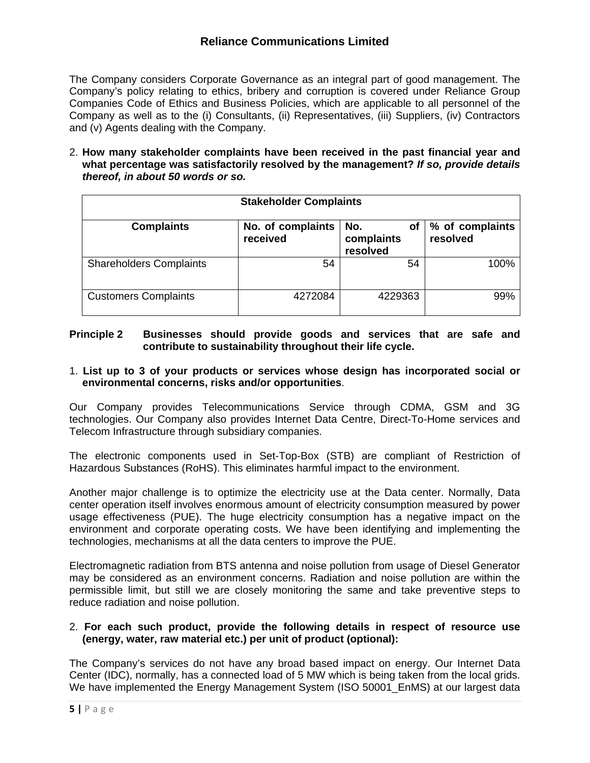The Company considers Corporate Governance as an integral part of good management. The Company's policy relating to ethics, bribery and corruption is covered under Reliance Group Companies Code of Ethics and Business Policies, which are applicable to all personnel of the Company as well as to the (i) Consultants, (ii) Representatives, (iii) Suppliers, (iv) Contractors and (v) Agents dealing with the Company.

2. **How many stakeholder complaints have been received in the past financial year and what percentage was satisfactorily resolved by the management?** *If so, provide details thereof, in about 50 words or so.* 

| <b>Stakeholder Complaints</b>  |                               |                                     |                             |  |  |  |  |
|--------------------------------|-------------------------------|-------------------------------------|-----------------------------|--|--|--|--|
| <b>Complaints</b>              | No. of complaints<br>received | No.<br>оf<br>complaints<br>resolved | % of complaints<br>resolved |  |  |  |  |
| <b>Shareholders Complaints</b> | 54                            | 54                                  | 100%                        |  |  |  |  |
| <b>Customers Complaints</b>    | 4272084                       | 4229363                             | 99%                         |  |  |  |  |

# **Principle 2 Businesses should provide goods and services that are safe and contribute to sustainability throughout their life cycle.**

## 1. **List up to 3 of your products or services whose design has incorporated social or environmental concerns, risks and/or opportunities**.

Our Company provides Telecommunications Service through CDMA, GSM and 3G technologies. Our Company also provides Internet Data Centre, Direct-To-Home services and Telecom Infrastructure through subsidiary companies.

The electronic components used in Set-Top-Box (STB) are compliant of Restriction of Hazardous Substances (RoHS). This eliminates harmful impact to the environment.

Another major challenge is to optimize the electricity use at the Data center. Normally, Data center operation itself involves enormous amount of electricity consumption measured by power usage effectiveness (PUE). The huge electricity consumption has a negative impact on the environment and corporate operating costs. We have been identifying and implementing the technologies, mechanisms at all the data centers to improve the PUE.

Electromagnetic radiation from BTS antenna and noise pollution from usage of Diesel Generator may be considered as an environment concerns. Radiation and noise pollution are within the permissible limit, but still we are closely monitoring the same and take preventive steps to reduce radiation and noise pollution.

# 2. **For each such product, provide the following details in respect of resource use (energy, water, raw material etc.) per unit of product (optional):**

The Company's services do not have any broad based impact on energy. Our Internet Data Center (IDC), normally, has a connected load of 5 MW which is being taken from the local grids. We have implemented the Energy Management System (ISO 50001\_EnMS) at our largest data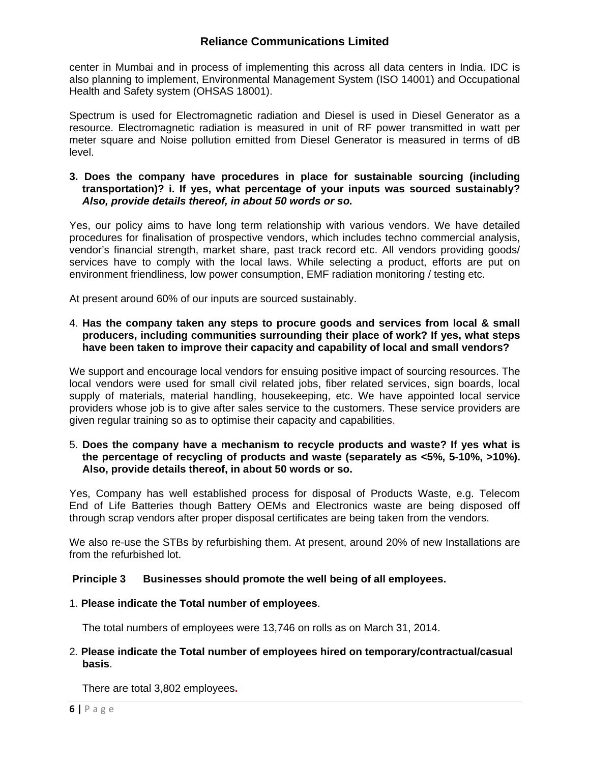center in Mumbai and in process of implementing this across all data centers in India. IDC is also planning to implement, Environmental Management System (ISO 14001) and Occupational Health and Safety system (OHSAS 18001).

Spectrum is used for Electromagnetic radiation and Diesel is used in Diesel Generator as a resource. Electromagnetic radiation is measured in unit of RF power transmitted in watt per meter square and Noise pollution emitted from Diesel Generator is measured in terms of dB level.

## **3. Does the company have procedures in place for sustainable sourcing (including transportation)? i. If yes, what percentage of your inputs was sourced sustainably?**  *Also, provide details thereof, in about 50 words or so.*

Yes, our policy aims to have long term relationship with various vendors. We have detailed procedures for finalisation of prospective vendors, which includes techno commercial analysis, vendor's financial strength, market share, past track record etc. All vendors providing goods/ services have to comply with the local laws. While selecting a product, efforts are put on environment friendliness, low power consumption, EMF radiation monitoring / testing etc.

At present around 60% of our inputs are sourced sustainably.

## 4. **Has the company taken any steps to procure goods and services from local & small producers, including communities surrounding their place of work? If yes, what steps have been taken to improve their capacity and capability of local and small vendors?**

We support and encourage local vendors for ensuing positive impact of sourcing resources. The local vendors were used for small civil related jobs, fiber related services, sign boards, local supply of materials, material handling, housekeeping, etc. We have appointed local service providers whose job is to give after sales service to the customers. These service providers are given regular training so as to optimise their capacity and capabilities.

#### 5. **Does the company have a mechanism to recycle products and waste? If yes what is the percentage of recycling of products and waste (separately as <5%, 5-10%, >10%). Also, provide details thereof, in about 50 words or so.**

Yes, Company has well established process for disposal of Products Waste, e.g. Telecom End of Life Batteries though Battery OEMs and Electronics waste are being disposed off through scrap vendors after proper disposal certificates are being taken from the vendors.

We also re-use the STBs by refurbishing them. At present, around 20% of new Installations are from the refurbished lot.

# **Principle 3 Businesses should promote the well being of all employees.**

# 1. **Please indicate the Total number of employees**.

The total numbers of employees were 13,746 on rolls as on March 31, 2014.

## 2. **Please indicate the Total number of employees hired on temporary/contractual/casual basis**.

There are total 3,802 employees**.**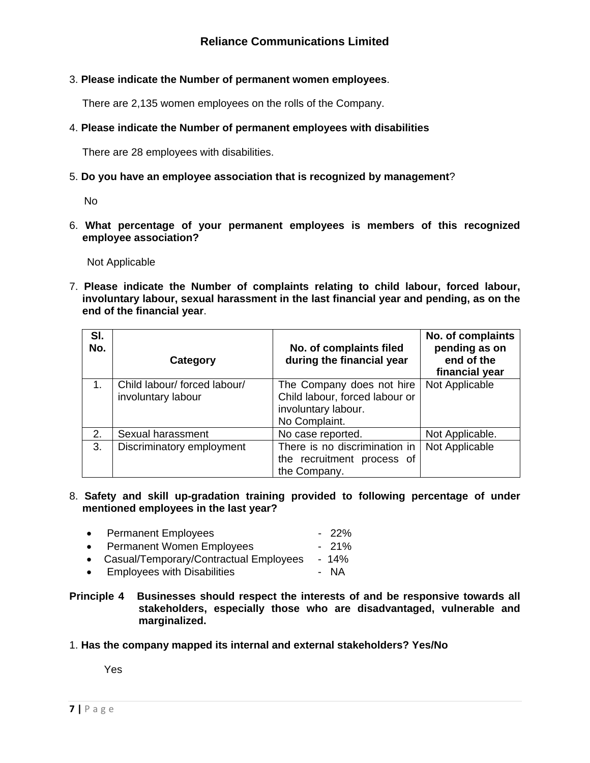# 3. **Please indicate the Number of permanent women employees**.

There are 2,135 women employees on the rolls of the Company.

## 4. **Please indicate the Number of permanent employees with disabilities**

There are 28 employees with disabilities.

## 5. **Do you have an employee association that is recognized by management**?

No

6. **What percentage of your permanent employees is members of this recognized employee association?**

Not Applicable

7. **Please indicate the Number of complaints relating to child labour, forced labour, involuntary labour, sexual harassment in the last financial year and pending, as on the end of the financial year**.

| SI.<br>No. | Category                                           | No. of complaints filed<br>during the financial year                                                | No. of complaints<br>pending as on<br>end of the<br>financial year |
|------------|----------------------------------------------------|-----------------------------------------------------------------------------------------------------|--------------------------------------------------------------------|
| 1.         | Child labour/ forced labour/<br>involuntary labour | The Company does not hire<br>Child labour, forced labour or<br>involuntary labour.<br>No Complaint. | Not Applicable                                                     |
| 2.         | Sexual harassment                                  | No case reported.                                                                                   | Not Applicable.                                                    |
| 3.         | Discriminatory employment                          | There is no discrimination in<br>the recruitment process of<br>the Company.                         | Not Applicable                                                     |

8. **Safety and skill up-gradation training provided to following percentage of under mentioned employees in the last year?**

|           | • Permanent Employees                    | $-22\%$ |
|-----------|------------------------------------------|---------|
|           | • Permanent Women Employees              | $-21\%$ |
|           | • Casual/Temporary/Contractual Employees | $-14%$  |
| $\bullet$ | <b>Employees with Disabilities</b>       | - NA    |

#### **Principle 4 Businesses should respect the interests of and be responsive towards all stakeholders, especially those who are disadvantaged, vulnerable and marginalized.**

#### 1. **Has the company mapped its internal and external stakeholders? Yes/No**

Yes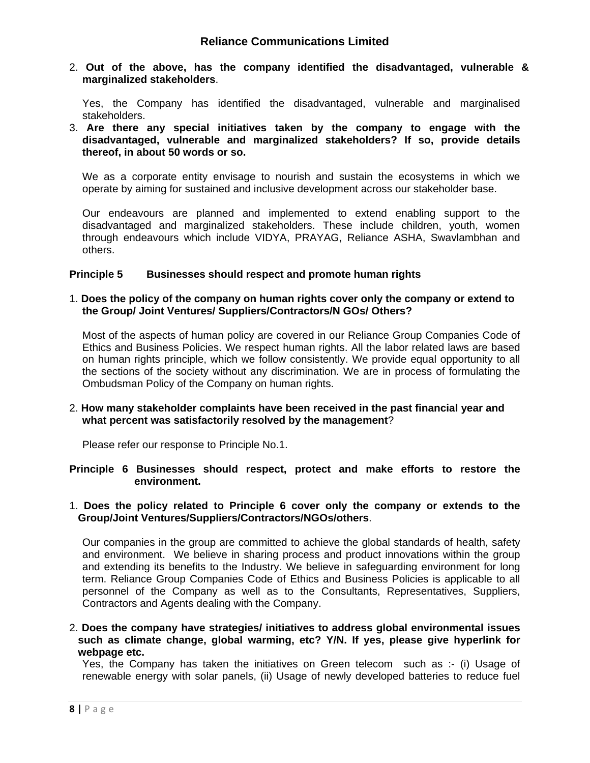2. **Out of the above, has the company identified the disadvantaged, vulnerable & marginalized stakeholders**.

Yes, the Company has identified the disadvantaged, vulnerable and marginalised stakeholders.

3. **Are there any special initiatives taken by the company to engage with the disadvantaged, vulnerable and marginalized stakeholders? If so, provide details thereof, in about 50 words or so.**

We as a corporate entity envisage to nourish and sustain the ecosystems in which we operate by aiming for sustained and inclusive development across our stakeholder base.

Our endeavours are planned and implemented to extend enabling support to the disadvantaged and marginalized stakeholders. These include children, youth, women through endeavours which include VIDYA, PRAYAG, Reliance ASHA, Swavlambhan and others.

#### **Principle 5 Businesses should respect and promote human rights**

#### 1. **Does the policy of the company on human rights cover only the company or extend to the Group/ Joint Ventures/ Suppliers/Contractors/N GOs/ Others?**

Most of the aspects of human policy are covered in our Reliance Group Companies Code of Ethics and Business Policies. We respect human rights. All the labor related laws are based on human rights principle, which we follow consistently. We provide equal opportunity to all the sections of the society without any discrimination. We are in process of formulating the Ombudsman Policy of the Company on human rights.

## 2. **How many stakeholder complaints have been received in the past financial year and what percent was satisfactorily resolved by the management**?

Please refer our response to Principle No.1.

#### **Principle 6 Businesses should respect, protect and make efforts to restore the environment.**

#### 1. **Does the policy related to Principle 6 cover only the company or extends to the Group/Joint Ventures/Suppliers/Contractors/NGOs/others**.

Our companies in the group are committed to achieve the global standards of health, safety and environment. We believe in sharing process and product innovations within the group and extending its benefits to the Industry. We believe in safeguarding environment for long term. Reliance Group Companies Code of Ethics and Business Policies is applicable to all personnel of the Company as well as to the Consultants, Representatives, Suppliers, Contractors and Agents dealing with the Company.

2. **Does the company have strategies/ initiatives to address global environmental issues such as climate change, global warming, etc? Y/N. If yes, please give hyperlink for webpage etc.**

Yes, the Company has taken the initiatives on Green telecom such as :- (i) Usage of renewable energy with solar panels, (ii) Usage of newly developed batteries to reduce fuel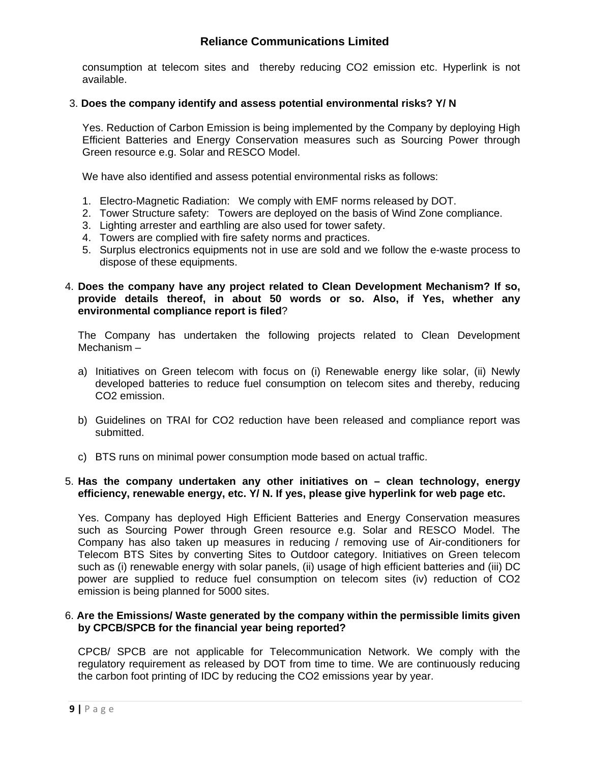consumption at telecom sites and thereby reducing CO2 emission etc. Hyperlink is not available.

## 3. **Does the company identify and assess potential environmental risks? Y/ N**

Yes. Reduction of Carbon Emission is being implemented by the Company by deploying High Efficient Batteries and Energy Conservation measures such as Sourcing Power through Green resource e.g. Solar and RESCO Model.

We have also identified and assess potential environmental risks as follows:

- 1. Electro-Magnetic Radiation: We comply with EMF norms released by DOT.
- 2. Tower Structure safety: Towers are deployed on the basis of Wind Zone compliance.
- 3. Lighting arrester and earthling are also used for tower safety.
- 4. Towers are complied with fire safety norms and practices.
- 5. Surplus electronics equipments not in use are sold and we follow the e-waste process to dispose of these equipments.
- 4. **Does the company have any project related to Clean Development Mechanism? If so, provide details thereof, in about 50 words or so. Also, if Yes, whether any environmental compliance report is filed**?

The Company has undertaken the following projects related to Clean Development Mechanism –

- a) Initiatives on Green telecom with focus on (i) Renewable energy like solar, (ii) Newly developed batteries to reduce fuel consumption on telecom sites and thereby, reducing CO2 emission.
- b) Guidelines on TRAI for CO2 reduction have been released and compliance report was submitted.
- c) BTS runs on minimal power consumption mode based on actual traffic.

#### 5. **Has the company undertaken any other initiatives on – clean technology, energy efficiency, renewable energy, etc. Y/ N. If yes, please give hyperlink for web page etc.**

Yes. Company has deployed High Efficient Batteries and Energy Conservation measures such as Sourcing Power through Green resource e.g. Solar and RESCO Model. The Company has also taken up measures in reducing / removing use of Air-conditioners for Telecom BTS Sites by converting Sites to Outdoor category. Initiatives on Green telecom such as (i) renewable energy with solar panels, (ii) usage of high efficient batteries and (iii) DC power are supplied to reduce fuel consumption on telecom sites (iv) reduction of CO2 emission is being planned for 5000 sites.

## 6. **Are the Emissions/ Waste generated by the company within the permissible limits given by CPCB/SPCB for the financial year being reported?**

CPCB/ SPCB are not applicable for Telecommunication Network. We comply with the regulatory requirement as released by DOT from time to time. We are continuously reducing the carbon foot printing of IDC by reducing the CO2 emissions year by year.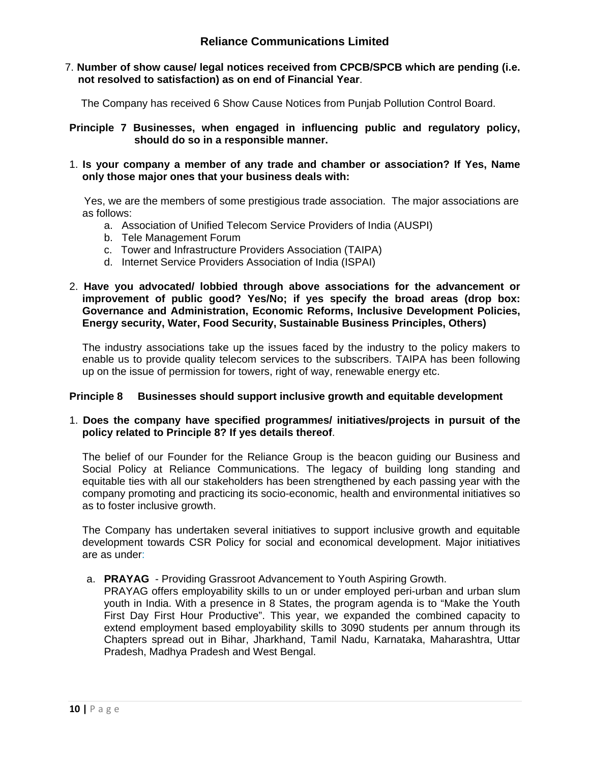7. **Number of show cause/ legal notices received from CPCB/SPCB which are pending (i.e. not resolved to satisfaction) as on end of Financial Year**.

The Company has received 6 Show Cause Notices from Punjab Pollution Control Board.

**Principle 7 Businesses, when engaged in influencing public and regulatory policy, should do so in a responsible manner.**

1. **Is your company a member of any trade and chamber or association? If Yes, Name only those major ones that your business deals with:**

 Yes, we are the members of some prestigious trade association. The major associations are as follows:

- a. Association of Unified Telecom Service Providers of India (AUSPI)
- b. Tele Management Forum
- c. Tower and Infrastructure Providers Association (TAIPA)
- d. Internet Service Providers Association of India (ISPAI)
- 2. **Have you advocated/ lobbied through above associations for the advancement or improvement of public good? Yes/No; if yes specify the broad areas (drop box: Governance and Administration, Economic Reforms, Inclusive Development Policies, Energy security, Water, Food Security, Sustainable Business Principles, Others)**

The industry associations take up the issues faced by the industry to the policy makers to enable us to provide quality telecom services to the subscribers. TAIPA has been following up on the issue of permission for towers, right of way, renewable energy etc.

# **Principle 8 Businesses should support inclusive growth and equitable development**

# 1. **Does the company have specified programmes/ initiatives/projects in pursuit of the policy related to Principle 8? If yes details thereof**.

The belief of our Founder for the Reliance Group is the beacon guiding our Business and Social Policy at Reliance Communications. The legacy of building long standing and equitable ties with all our stakeholders has been strengthened by each passing year with the company promoting and practicing its socio-economic, health and environmental initiatives so as to foster inclusive growth.

The Company has undertaken several initiatives to support inclusive growth and equitable development towards CSR Policy for social and economical development. Major initiatives are as under:

a. **PRAYAG** - Providing Grassroot Advancement to Youth Aspiring Growth.

PRAYAG offers employability skills to un or under employed peri-urban and urban slum youth in India. With a presence in 8 States, the program agenda is to "Make the Youth First Day First Hour Productive". This year, we expanded the combined capacity to extend employment based employability skills to 3090 students per annum through its Chapters spread out in Bihar, Jharkhand, Tamil Nadu, Karnataka, Maharashtra, Uttar Pradesh, Madhya Pradesh and West Bengal.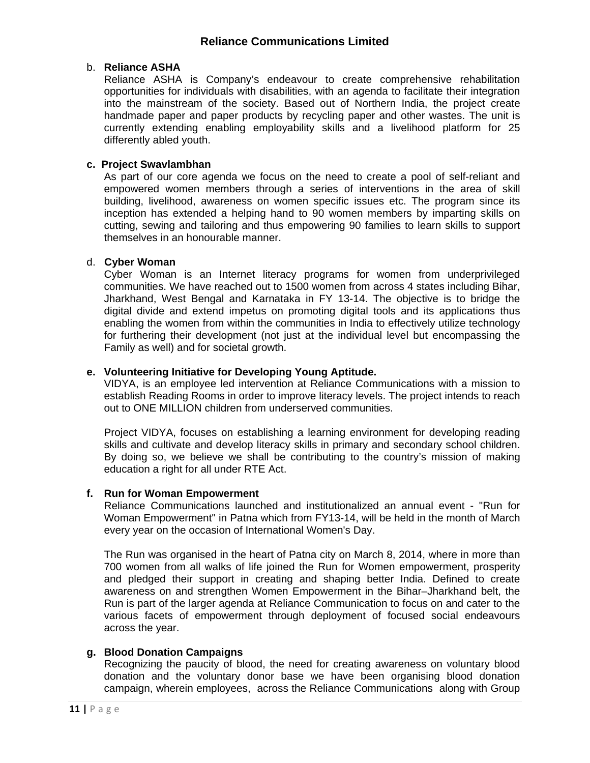## b. **Reliance ASHA**

 Reliance ASHA is Company's endeavour to create comprehensive rehabilitation opportunities for individuals with disabilities, with an agenda to facilitate their integration into the mainstream of the society. Based out of Northern India, the project create handmade paper and paper products by recycling paper and other wastes. The unit is currently extending enabling employability skills and a livelihood platform for 25 differently abled youth.

## **c. Project Swavlambhan**

 As part of our core agenda we focus on the need to create a pool of self-reliant and empowered women members through a series of interventions in the area of skill building, livelihood, awareness on women specific issues etc. The program since its inception has extended a helping hand to 90 women members by imparting skills on cutting, sewing and tailoring and thus empowering 90 families to learn skills to support themselves in an honourable manner.

## d. **Cyber Woman**

Cyber Woman is an Internet literacy programs for women from underprivileged communities. We have reached out to 1500 women from across 4 states including Bihar, Jharkhand, West Bengal and Karnataka in FY 13-14. The objective is to bridge the digital divide and extend impetus on promoting digital tools and its applications thus enabling the women from within the communities in India to effectively utilize technology for furthering their development (not just at the individual level but encompassing the Family as well) and for societal growth.

## **e. Volunteering Initiative for Developing Young Aptitude.**

VIDYA, is an employee led intervention at Reliance Communications with a mission to establish Reading Rooms in order to improve literacy levels. The project intends to reach out to ONE MILLION children from underserved communities.

Project VIDYA, focuses on establishing a learning environment for developing reading skills and cultivate and develop literacy skills in primary and secondary school children. By doing so, we believe we shall be contributing to the country's mission of making education a right for all under RTE Act.

#### **f. Run for Woman Empowerment**

Reliance Communications launched and institutionalized an annual event - "Run for Woman Empowerment" in Patna which from FY13-14, will be held in the month of March every year on the occasion of International Women's Day.

The Run was organised in the heart of Patna city on March 8, 2014, where in more than 700 women from all walks of life joined the Run for Women empowerment, prosperity and pledged their support in creating and shaping better India. Defined to create awareness on and strengthen Women Empowerment in the Bihar–Jharkhand belt, the Run is part of the larger agenda at Reliance Communication to focus on and cater to the various facets of empowerment through deployment of focused social endeavours across the year.

## **g. Blood Donation Campaigns**

Recognizing the paucity of blood, the need for creating awareness on voluntary blood donation and the voluntary donor base we have been organising blood donation campaign, wherein employees, across the Reliance Communications along with Group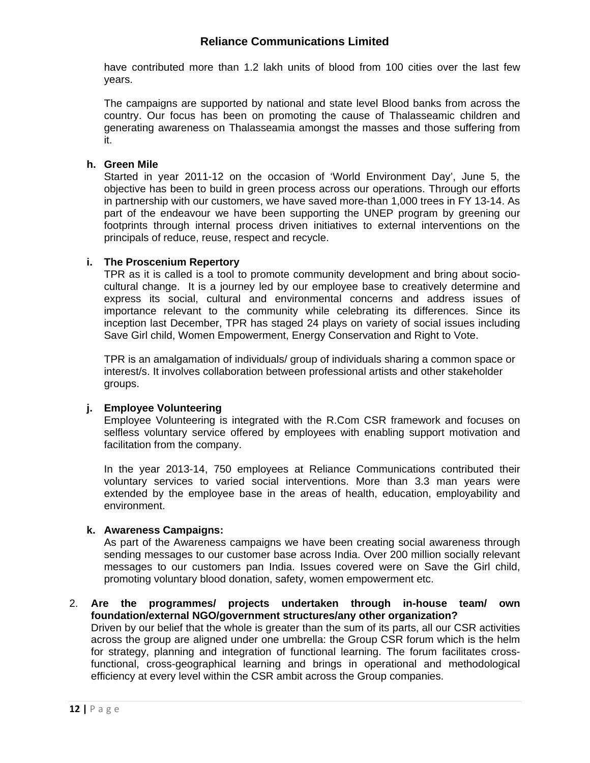have contributed more than 1.2 lakh units of blood from 100 cities over the last few years.

The campaigns are supported by national and state level Blood banks from across the country. Our focus has been on promoting the cause of Thalasseamic children and generating awareness on Thalasseamia amongst the masses and those suffering from it.

## **h. Green Mile**

 Started in year 2011-12 on the occasion of 'World Environment Day', June 5, the objective has been to build in green process across our operations. Through our efforts in partnership with our customers, we have saved more-than 1,000 trees in FY 13-14. As part of the endeavour we have been supporting the UNEP program by greening our footprints through internal process driven initiatives to external interventions on the principals of reduce, reuse, respect and recycle.

# **i. The Proscenium Repertory**

TPR as it is called is a tool to promote community development and bring about sociocultural change. It is a journey led by our employee base to creatively determine and express its social, cultural and environmental concerns and address issues of importance relevant to the community while celebrating its differences. Since its inception last December, TPR has staged 24 plays on variety of social issues including Save Girl child, Women Empowerment, Energy Conservation and Right to Vote.

TPR is an amalgamation of individuals/ group of individuals sharing a common space or interest/s. It involves collaboration between professional artists and other stakeholder groups.

# **j. Employee Volunteering**

 Employee Volunteering is integrated with the R.Com CSR framework and focuses on selfless voluntary service offered by employees with enabling support motivation and facilitation from the company.

 In the year 2013-14, 750 employees at Reliance Communications contributed their voluntary services to varied social interventions. More than 3.3 man years were extended by the employee base in the areas of health, education, employability and environment.

#### **k. Awareness Campaigns:**

 As part of the Awareness campaigns we have been creating social awareness through sending messages to our customer base across India. Over 200 million socially relevant messages to our customers pan India. Issues covered were on Save the Girl child, promoting voluntary blood donation, safety, women empowerment etc.

#### 2. **Are the programmes/ projects undertaken through in-house team/ own foundation/external NGO/government structures/any other organization?**

Driven by our belief that the whole is greater than the sum of its parts, all our CSR activities across the group are aligned under one umbrella: the Group CSR forum which is the helm for strategy, planning and integration of functional learning. The forum facilitates crossfunctional, cross-geographical learning and brings in operational and methodological efficiency at every level within the CSR ambit across the Group companies.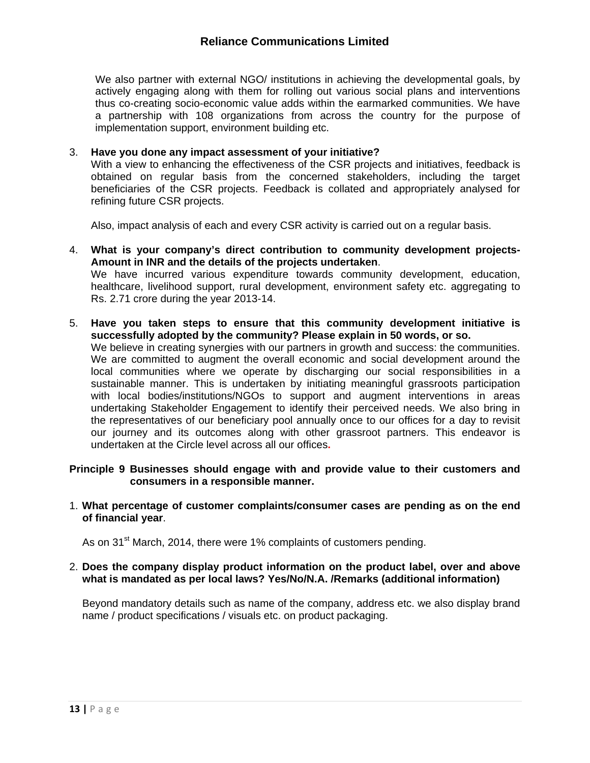We also partner with external NGO/ institutions in achieving the developmental goals, by actively engaging along with them for rolling out various social plans and interventions thus co-creating socio-economic value adds within the earmarked communities. We have a partnership with 108 organizations from across the country for the purpose of implementation support, environment building etc.

## 3. **Have you done any impact assessment of your initiative?**

With a view to enhancing the effectiveness of the CSR projects and initiatives, feedback is obtained on regular basis from the concerned stakeholders, including the target beneficiaries of the CSR projects. Feedback is collated and appropriately analysed for refining future CSR projects.

Also, impact analysis of each and every CSR activity is carried out on a regular basis.

4. **What is your company's direct contribution to community development projects-Amount in INR and the details of the projects undertaken**.

We have incurred various expenditure towards community development, education, healthcare, livelihood support, rural development, environment safety etc. aggregating to Rs. 2.71 crore during the year 2013-14.

5. **Have you taken steps to ensure that this community development initiative is successfully adopted by the community? Please explain in 50 words, or so.**  We believe in creating synergies with our partners in growth and success: the communities. We are committed to augment the overall economic and social development around the local communities where we operate by discharging our social responsibilities in a sustainable manner. This is undertaken by initiating meaningful grassroots participation with local bodies/institutions/NGOs to support and augment interventions in areas undertaking Stakeholder Engagement to identify their perceived needs. We also bring in the representatives of our beneficiary pool annually once to our offices for a day to revisit our journey and its outcomes along with other grassroot partners. This endeavor is undertaken at the Circle level across all our offices**.** 

#### **Principle 9 Businesses should engage with and provide value to their customers and consumers in a responsible manner.**

1. **What percentage of customer complaints/consumer cases are pending as on the end of financial year**.

As on 31<sup>st</sup> March, 2014, there were 1% complaints of customers pending.

#### 2. **Does the company display product information on the product label, over and above what is mandated as per local laws? Yes/No/N.A. /Remarks (additional information)**

Beyond mandatory details such as name of the company, address etc. we also display brand name / product specifications / visuals etc. on product packaging.